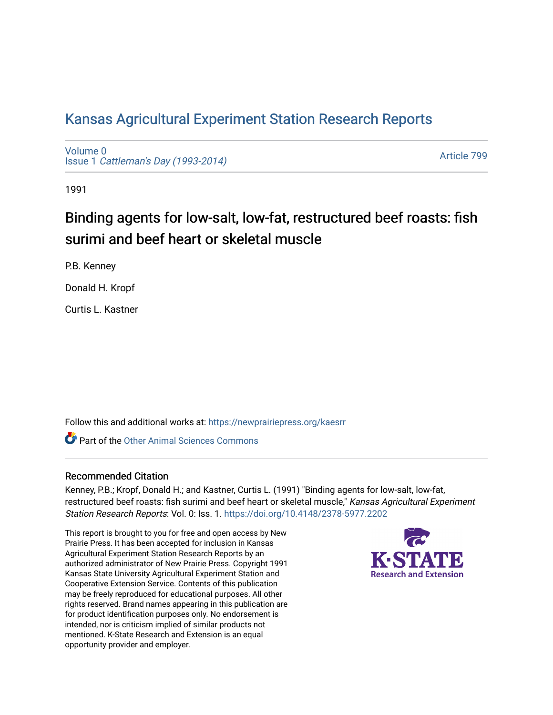# [Kansas Agricultural Experiment Station Research Reports](https://newprairiepress.org/kaesrr)

[Volume 0](https://newprairiepress.org/kaesrr/vol0) Issue 1 [Cattleman's Day \(1993-2014\)](https://newprairiepress.org/kaesrr/vol0/iss1) 

[Article 799](https://newprairiepress.org/kaesrr/vol0/iss1/799) 

1991

# Binding agents for low-salt, low-fat, restructured beef roasts: fish surimi and beef heart or skeletal muscle

P.B. Kenney

Donald H. Kropf

Curtis L. Kastner

Follow this and additional works at: [https://newprairiepress.org/kaesrr](https://newprairiepress.org/kaesrr?utm_source=newprairiepress.org%2Fkaesrr%2Fvol0%2Fiss1%2F799&utm_medium=PDF&utm_campaign=PDFCoverPages) 

**C** Part of the [Other Animal Sciences Commons](http://network.bepress.com/hgg/discipline/82?utm_source=newprairiepress.org%2Fkaesrr%2Fvol0%2Fiss1%2F799&utm_medium=PDF&utm_campaign=PDFCoverPages)

# Recommended Citation

Kenney, P.B.; Kropf, Donald H.; and Kastner, Curtis L. (1991) "Binding agents for low-salt, low-fat, restructured beef roasts: fish surimi and beef heart or skeletal muscle," Kansas Agricultural Experiment Station Research Reports: Vol. 0: Iss. 1.<https://doi.org/10.4148/2378-5977.2202>

This report is brought to you for free and open access by New Prairie Press. It has been accepted for inclusion in Kansas Agricultural Experiment Station Research Reports by an authorized administrator of New Prairie Press. Copyright 1991 Kansas State University Agricultural Experiment Station and Cooperative Extension Service. Contents of this publication may be freely reproduced for educational purposes. All other rights reserved. Brand names appearing in this publication are for product identification purposes only. No endorsement is intended, nor is criticism implied of similar products not mentioned. K-State Research and Extension is an equal opportunity provider and employer.

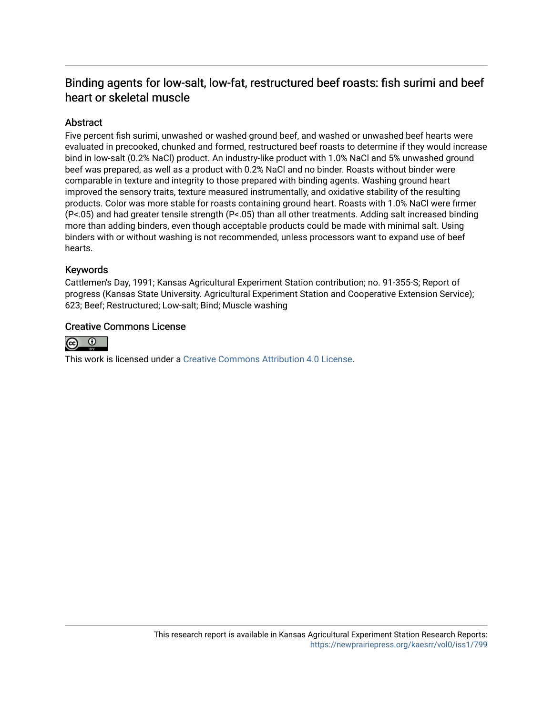# Binding agents for low-salt, low-fat, restructured beef roasts: fish surimi and beef heart or skeletal muscle

# Abstract

Five percent fish surimi, unwashed or washed ground beef, and washed or unwashed beef hearts were evaluated in precooked, chunked and formed, restructured beef roasts to determine if they would increase bind in low-salt (0.2% NaCl) product. An industry-like product with 1.0% NaCl and 5% unwashed ground beef was prepared, as well as a product with 0.2% NaCl and no binder. Roasts without binder were comparable in texture and integrity to those prepared with binding agents. Washing ground heart improved the sensory traits, texture measured instrumentally, and oxidative stability of the resulting products. Color was more stable for roasts containing ground heart. Roasts with 1.0% NaCl were firmer (P<.05) and had greater tensile strength (P<.05) than all other treatments. Adding salt increased binding more than adding binders, even though acceptable products could be made with minimal salt. Using binders with or without washing is not recommended, unless processors want to expand use of beef hearts.

## Keywords

Cattlemen's Day, 1991; Kansas Agricultural Experiment Station contribution; no. 91-355-S; Report of progress (Kansas State University. Agricultural Experiment Station and Cooperative Extension Service); 623; Beef; Restructured; Low-salt; Bind; Muscle washing

## Creative Commons License



This work is licensed under a [Creative Commons Attribution 4.0 License](https://creativecommons.org/licenses/by/4.0/).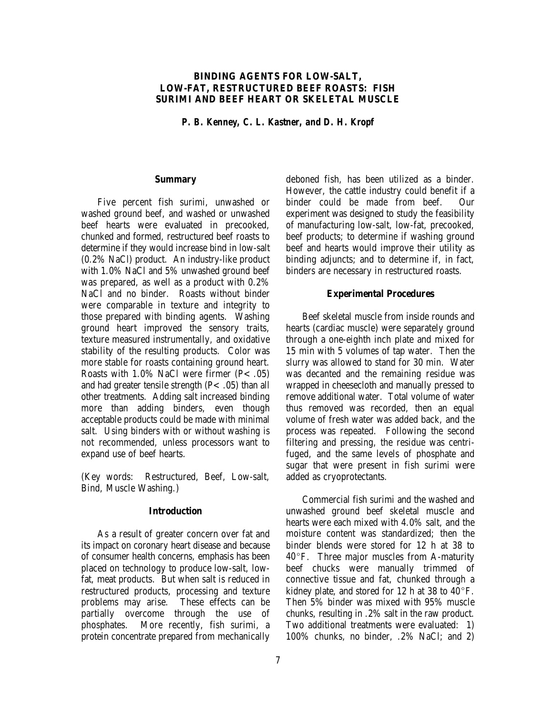### **BINDING AGENTS FOR LOW-SALT, LOW-FAT, RESTRUCTURED BEEF ROASTS: FISH SURIMI AND BEEF HEART OR SKELETAL MUSCLE**

*P. B. Kenney, C. L. Kastner, and D. H. Kropf*

#### **Summary**

Five percent fish surimi, unwashed or washed ground beef, and washed or unwashed beef hearts were evaluated in precooked, chunked and formed, restructured beef roasts to determine if they would increase bind in low-salt (0.2% NaCl) product. An industry-like product with 1.0% NaCl and 5% unwashed ground beef was prepared, as well as a product with 0.2% NaCl and no binder. Roasts without binder were comparable in texture and integrity to those prepared with binding agents. Washing ground heart improved the sensory traits, texture measured instrumentally, and oxidative stability of the resulting products. Color was more stable for roasts containing ground heart. Roasts with  $1.0\%$  NaCl were firmer (P< .05) and had greater tensile strength  $(P<.05)$  than all other treatments. Adding salt increased binding more than adding binders, even though acceptable products could be made with minimal salt. Using binders with or without washing is not recommended, unless processors want to expand use of beef hearts.

(Key words: Restructured, Beef, Low-salt, Bind, Muscle Washing.)

#### **Introduction**

As a result of greater concern over fat and its impact on coronary heart disease and because of consumer health concerns, emphasis has been placed on technology to produce low-salt, lowfat, meat products. But when salt is reduced in restructured products, processing and texture problems may arise. These effects can be partially overcome through the use of phosphates. More recently, fish surimi, a protein concentrate prepared from mechanically deboned fish, has been utilized as a binder. However, the cattle industry could benefit if a binder could be made from beef. Our experiment was designed to study the feasibility of manufacturing low-salt, low-fat, precooked, beef products; to determine if washing ground beef and hearts would improve their utility as binding adjuncts; and to determine if, in fact, binders are necessary in restructured roasts.

#### **Experimental Procedures**

Beef skeletal muscle from inside rounds and hearts (cardiac muscle) were separately ground through a one-eighth inch plate and mixed for 15 min with 5 volumes of tap water. Then the slurry was allowed to stand for 30 min. Water was decanted and the remaining residue was wrapped in cheesecloth and manually pressed to remove additional water. Total volume of water thus removed was recorded, then an equal volume of fresh water was added back, and the process was repeated. Following the second filtering and pressing, the residue was centrifuged, and the same levels of phosphate and sugar that were present in fish surimi were added as cryoprotectants.

Commercial fish surimi and the washed and unwashed ground beef skeletal muscle and hearts were each mixed with 4.0% salt, and the moisture content was standardized; then the binder blends were stored for 12 h at 38 to  $40^{\circ}$ F. Three major muscles from A-maturity beef chucks were manually trimmed of connective tissue and fat, chunked through a kidney plate, and stored for 12 h at 38 to  $40^{\circ}$ F. Then 5% binder was mixed with 95% muscle chunks, resulting in .2% salt in the raw product. Two additional treatments were evaluated: 1) 100% chunks, no binder, .2% NaCl; and 2)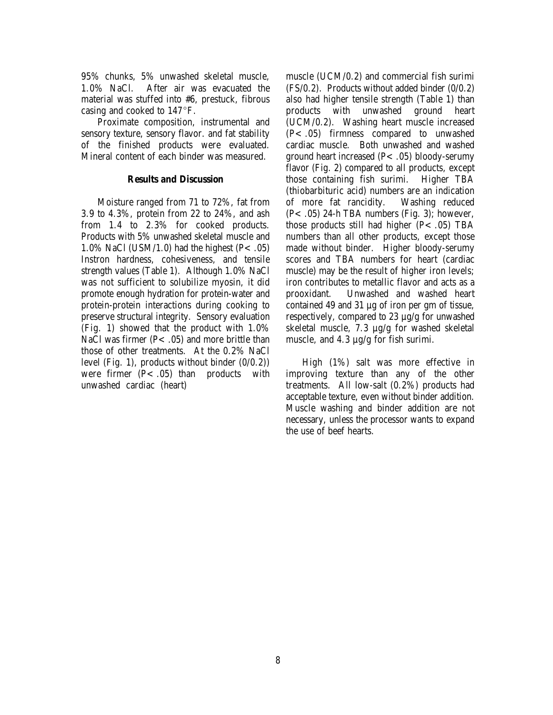95% chunks, 5% unwashed skeletal muscle, 1.0% NaCl. After air was evacuated the material was stuffed into #6, prestuck, fibrous casing and cooked to  $147^{\circ}$ F.

Proximate composition, instrumental and sensory texture, sensory flavor. and fat stability of the finished products were evaluated. Mineral content of each binder was measured.

#### **Results and Discussion**

Moisture ranged from 71 to 72%, fat from 3.9 to 4.3%, protein from 22 to 24%, and ash from 1.4 to 2.3% for cooked products. Products with 5% unwashed skeletal muscle and 1.0% NaCl (USM/1.0) had the highest (P< .05) Instron hardness, cohesiveness, and tensile strength values (Table 1). Although 1.0% NaCl was not sufficient to solubilize myosin, it did promote enough hydration for protein-water and protein-protein interactions during cooking to preserve structural integrity. Sensory evaluation (Fig. 1) showed that the product with 1.0% NaCl was firmer ( $P < .05$ ) and more brittle than those of other treatments. At the 0.2% NaCl level (Fig. 1), products without binder (0/0.2)) were firmer  $(P<.05)$  than products with unwashed cardiac (heart)

muscle (UCM/0.2) and commercial fish surimi (FS/0.2). Products without added binder (0/0.2) also had higher tensile strength (Table 1) than products with unwashed ground heart (UCM/0.2). Washing heart muscle increased (P<.05) firmness compared to unwashed cardiac muscle. Both unwashed and washed ground heart increased (P<.05) bloody-serumy flavor (Fig. 2) compared to all products, except those containing fish surimi. Higher TBA (thiobarbituric acid) numbers are an indication of more fat rancidity. Washing reduced  $(P<.05)$  24-h TBA numbers (Fig. 3); however, those products still had higher  $(P<.05)$  TBA numbers than all other products, except those made without binder. Higher bloody-serumy scores and TBA numbers for heart (cardiac muscle) may be the result of higher iron levels; iron contributes to metallic flavor and acts as a prooxidant. Unwashed and washed heart contained 49 and 31 µg of iron per gm of tissue, respectively, compared to 23 µg/g for unwashed skeletal muscle, 7.3 µg/g for washed skeletal muscle, and  $4.3 \mu g/g$  for fish surimi.

High (1%) salt was more effective in improving texture than any of the other treatments. All low-salt (0.2%) products had acceptable texture, even without binder addition. Muscle washing and binder addition are not necessary, unless the processor wants to expand the use of beef hearts.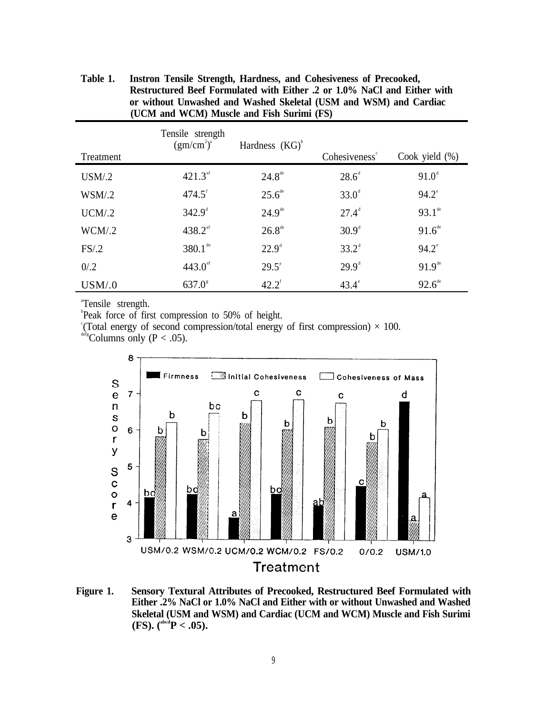| Treatment | Tensile strength<br>(gm/cm <sup>2</sup> ) <sup>a</sup> | Hardness $(KG)$ <sup>b</sup> | Cohesiveness <sup>®</sup> | Cook yield $(\%)$  |
|-----------|--------------------------------------------------------|------------------------------|---------------------------|--------------------|
| USM/2     | $421.3^{\text{ef}}$                                    | $24.8^{\text{de}}$           | $28.6^{\circ}$            | $91.0^{\circ}$     |
| WSM/2     | $474.5$ <sup>f</sup>                                   | $25.6^{\text{de}}$           | $33.0^{\circ}$            | $94.2^{\circ}$     |
| UCM/2     | $342.9^{\circ}$                                        | $24.9^{\text{de}}$           | $27.4^{\circ}$            | $93.1^{\text{de}}$ |
| WCM/2     | $438.2$ <sup>ef</sup>                                  | $26.8^{\text{de}}$           | $30.9^{\circ}$            | $91.6^{\text{de}}$ |
| FS/2      | $380.1^{\text{de}}$                                    | $22.9^{\circ}$               | $33.2^{\circ}$            | $94.2^{\circ}$     |
| 0/0.2     | $443.0$ <sup>ef</sup>                                  | $29.5^\circ$                 | $29.9^{\text{d}}$         | $91.9^{\text{de}}$ |
| USM/.0    | $637.0^{\circ}$                                        | $42.2^{\text{f}}$            | $43.4^\circ$              | $92.6^{\text{de}}$ |

**Table 1. Instron Tensile Strength, Hardness, and Cohesiveness of Precooked, Restructured Beef Formulated with Either .2 or 1.0% NaCl and Either with or without Unwashed and Washed Skeletal (USM and WSM) and Cardiac (UCM and WCM) Muscle and Fish Surimi (FS)**

a Tensile strength.

b Peak force of first compression to 50% of height.

<sup>e</sup>(Total energy of second compression/total energy of first compression)  $\times$  100.

 $\frac{\text{defg}}{\text{Column}}$  only (P < .05).



**Figure 1. Sensory Textural Attributes of Precooked, Restructured Beef Formulated with Either .2% NaCl or 1.0% NaCl and Either with or without Unwashed and Washed Skeletal (USM and WSM) and Cardiac (UCM and WCM) Muscle and Fish Surimi (FS).** ( $^{abcd}P < .05$ ).